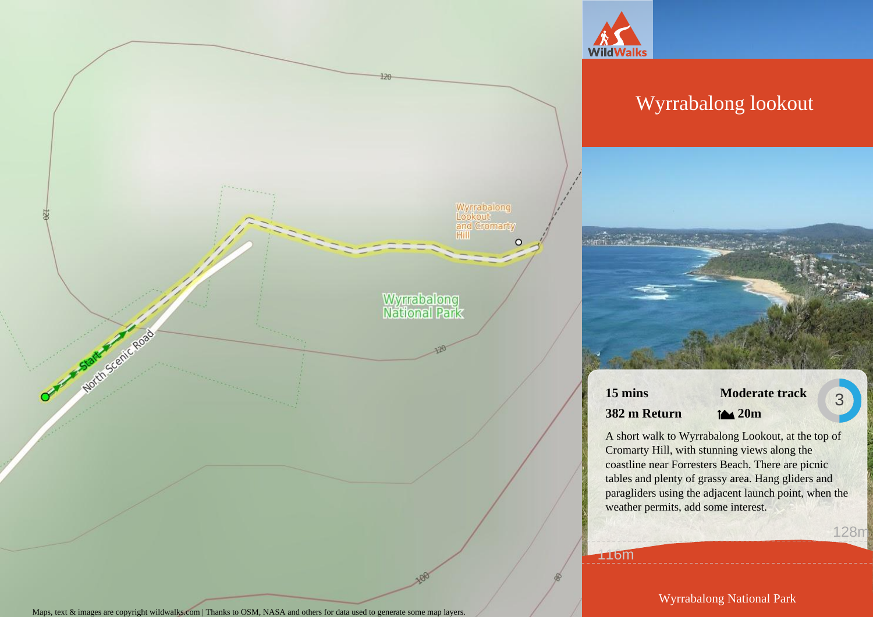

 $120 -$ 

Wyrrabalong<br>Lookout<br>and Cromarty<br>Hill

Wyrrabalong<br>National Park

 $\circ$ 

## Wyrrabalong lookout

**15 mins 382 m Return**

116m

**Moderate track 20m**

3

128m

A short walk to Wyrrabalong Lookout, at the top of Cromarty Hill, with stunning views along the coastline near Forresters Beach. There are picnic tables and plenty of grassy area. Hang gliders and paragliders using the adjacent launch point, when the weather permits, add some interest.

Maps, text & images are copyright wildwalks.com | Thanks to OSM, NASA and others for data used to generate some map layers.

North Scenic Road

Wyrrabalong National Park